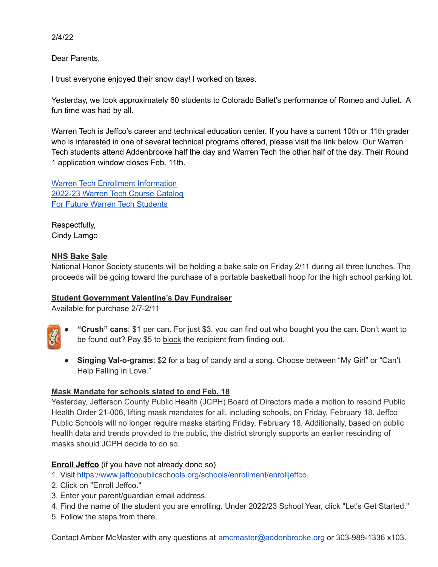2/4/22

Dear Parents,

I trust everyone enjoyed their snow day! I worked on taxes.

Yesterday, we took approximately 60 students to Colorado Ballet's performance of Romeo and Juliet. A fun time was had by all.

Warren Tech is Jeffco's career and technical education center. If you have a current 10th or 11th grader who is interested in one of several technical programs offered, please visit the link below. Our Warren Tech students attend Addenbrooke half the day and Warren Tech the other half of the day. Their Round 1 application window closes Feb. 11th.

Warren Tech Enrollment [Information](https://p12cdn4static.sharpschool.com/UserFiles/Servers/Server_627881/File/Jeffco%20PS/School%20Info/Enrollment/EnrollJeffco/warren-tech-apply-2022.pdf) [2022-23](https://indd.adobe.com/view/80dc1729-d3f9-4856-862b-12bc4d65f116) Warren Tech Course Catalog For Future Warren Tech [Students](https://warrentech.org/cms/one.aspx?pageId=1053660)

Respectfully, Cindy Lamgo

# **NHS Bake Sale**

National Honor Society students will be holding a bake sale on Friday 2/11 during all three lunches. The proceeds will be going toward the purchase of a portable basketball hoop for the high school parking lot.

### **Student Government Valentine's Day Fundraiser**

Available for purchase 2/7-2/11

- **"Crush" cans**: \$1 per can. For just \$3, you can find out who bought you the can. Don't want to be found out? Pay \$5 to block the recipient from finding out.
- **● Singing Val-o-grams**: \$2 for a bag of candy and a song. Choose between "My Girl" or "Can't Help Falling in Love."

# **Mask Mandate for schools slated to end Feb. 18**

Yesterday, Jefferson County Public Health (JCPH) Board of Directors made a motion to rescind Public Health Order 21-006, lifting mask mandates for all, including schools, on Friday, February 18. Jeffco Public Schools will no longer require masks starting Friday, February 18. Additionally, based on public health data and trends provided to the public, the district strongly supports an earlier rescinding of masks should JCPH decide to do so.

# **Enroll Jeffco** (if you have not already done so)

1. Visit [https://www.jeffcopublicschools.org/schools/enrollment/enrolljeffco.](https://www.jeffcopublicschools.org/schools/enrollment/enrolljeffco)

- 2. Click on "Enroll Jeffco."
- 3. Enter your parent/guardian email address.
- 4. Find the name of the student you are enrolling. Under 2022/23 School Year, click "Let's Get Started."
- 5. Follow the steps from there.

Contact Amber McMaster with any questions at amcmaster@addenbrooke.org or 303-989-1336 x103.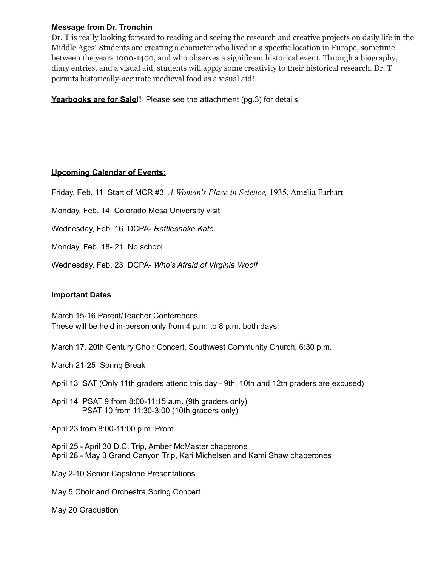#### **Message from Dr. Tronchin**

Dr. T is really looking forward to reading and seeing the research and creative projects on daily life in the Middle Ages! Students are creating a character who lived in a specific location in Europe, sometime between the years 1000-1400, and who observes a significant historical event. Through a biography, diary entries, and a visual aid, students will apply some creativity to their historical research. Dr. T permits historically-accurate medieval food as a visual aid!

**Yearbooks are for Sale!!** Please see the attachment (pg.3) for details.

#### **Upcoming Calendar of Events:**

Friday, Feb. 11 Start of MCR #3 *A Woman's Place in Science,* 1935, Amelia Earhart

Monday, Feb. 14 Colorado Mesa University visit

Wednesday, Feb. 16 DCPA- *Rattlesnake Kate*

Monday, Feb. 18- 21 No school

Wednesday, Feb. 23 DCPA- *Who's Afraid of Virginia Woolf*

#### **Important Dates**

March 15-16 Parent/Teacher Conferences These will be held in-person only from 4 p.m. to 8 p.m. both days.

March 17, 20th Century Choir Concert, Southwest Community Church, 6:30 p.m.

March 21-25 Spring Break

April 13 SAT (Only 11th graders attend this day - 9th, 10th and 12th graders are excused)

April 14 PSAT 9 from 8:00-11:15 a.m. (9th graders only) PSAT 10 from 11:30-3:00 (10th graders only)

April 23 from 8:00-11:00 p.m. Prom

April 25 - April 30 D.C. Trip, Amber McMaster chaperone April 28 - May 3 Grand Canyon Trip, Kari Michelsen and Kami Shaw chaperones

May 2-10 Senior Capstone Presentations

May 5 Choir and Orchestra Spring Concert

May 20 Graduation